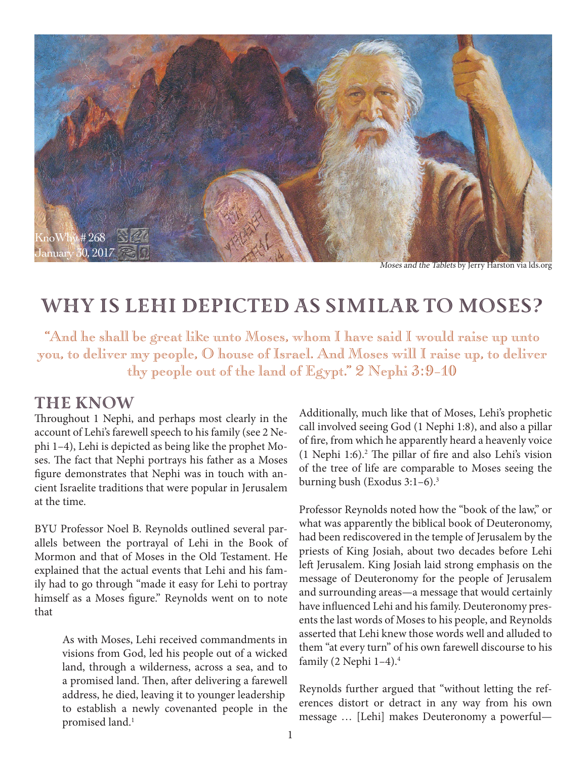

Moses and the Tablets by Jerry Harston via lds.org

## Why Is Lehi Depicted as Similar to Moses?

"And he shall be great like unto Moses, whom I have said I would raise up unto you, to deliver my people, O house of Israel. And Moses will I raise up, to deliver thy people out of the land of Egypt." 2 Nephi 3:9–10

#### The Know

Throughout 1 Nephi, and perhaps most clearly in the account of Lehi's farewell speech to his family (see 2 Nephi 1–4), Lehi is depicted as being like the prophet Moses. The fact that Nephi portrays his father as a Moses figure demonstrates that Nephi was in touch with ancient Israelite traditions that were popular in Jerusalem at the time.

BYU Professor Noel B. Reynolds outlined several parallels between the portrayal of Lehi in the Book of Mormon and that of Moses in the Old Testament. He explained that the actual events that Lehi and his family had to go through "made it easy for Lehi to portray himself as a Moses figure." Reynolds went on to note that

> As with Moses, Lehi received commandments in visions from God, led his people out of a wicked land, through a wilderness, across a sea, and to a promised land. Then, after delivering a farewell address, he died, leaving it to younger leadership to establish a newly covenanted people in the promised land.<sup>1</sup>

Additionally, much like that of Moses, Lehi's prophetic call involved seeing God (1 Nephi 1:8), and also a pillar of fire, from which he apparently heard a heavenly voice (1 Nephi 1:6).2 The pillar of fire and also Lehi's vision of the tree of life are comparable to Moses seeing the burning bush (Exodus 3:1–6).3

Professor Reynolds noted how the "book of the law," or what was apparently the biblical book of Deuteronomy, had been rediscovered in the temple of Jerusalem by the priests of King Josiah, about two decades before Lehi left Jerusalem. King Josiah laid strong emphasis on the message of Deuteronomy for the people of Jerusalem and surrounding areas—a message that would certainly have influenced Lehi and his family. Deuteronomy presents the last words of Moses to his people, and Reynolds asserted that Lehi knew those words well and alluded to them "at every turn" of his own farewell discourse to his family (2 Nephi 1–4).4

Reynolds further argued that "without letting the references distort or detract in any way from his own message … [Lehi] makes Deuteronomy a powerful—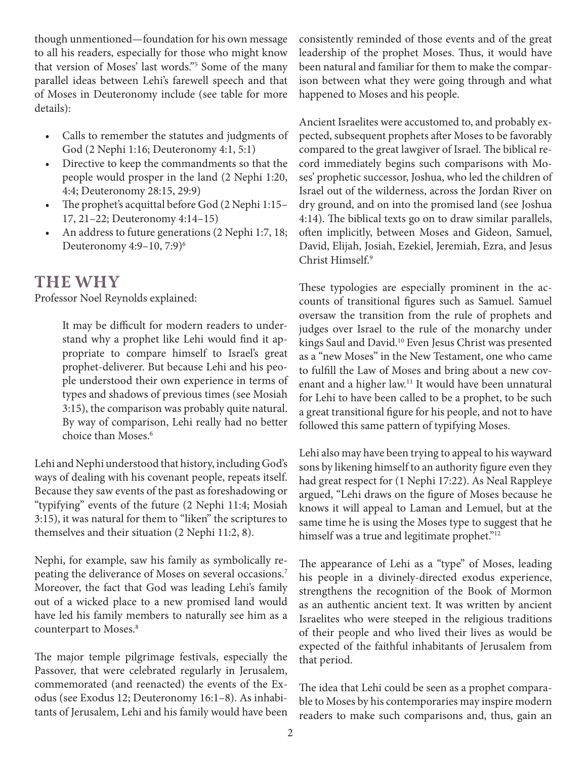though unmentioned—foundation for his own message to all his readers, especially for those who might know that version of Moses' last words."5 Some of the many parallel ideas between Lehi's farewell speech and that of Moses in Deuteronomy include (see table for more details):

- Calls to remember the statutes and judgments of God (2 Nephi 1:16; Deuteronomy 4:1, 5:1)
- Directive to keep the commandments so that the people would prosper in the land (2 Nephi 1:20, 4:4; Deuteronomy 28:15, 29:9)
- The prophet's acquittal before God (2 Nephi 1:15– 17, 21–22; Deuteronomy 4:14–15)
- An address to future generations (2 Nephi 1:7, 18; Deuteronomy 4:9-10, 7:9)<sup>6</sup>

### The Why

Professor Noel Reynolds explained:

It may be difficult for modern readers to understand why a prophet like Lehi would find it appropriate to compare himself to Israel's great prophet-deliverer. But because Lehi and his people understood their own experience in terms of types and shadows of previous times (see Mosiah 3:15), the comparison was probably quite natural. By way of comparison, Lehi really had no better choice than Moses.6

Lehi and Nephi understood that history, including God's ways of dealing with his covenant people, repeats itself. Because they saw events of the past as foreshadowing or "typifying" events of the future (2 Nephi 11:4; Mosiah 3:15), it was natural for them to "liken" the scriptures to themselves and their situation (2 Nephi 11:2, 8).

Nephi, for example, saw his family as symbolically repeating the deliverance of Moses on several occasions.7 Moreover, the fact that God was leading Lehi's family out of a wicked place to a new promised land would have led his family members to naturally see him as a counterpart to Moses.<sup>8</sup>

The major temple pilgrimage festivals, especially the Passover, that were celebrated regularly in Jerusalem, commemorated (and reenacted) the events of the Exodus (see Exodus 12; Deuteronomy 16:1–8). As inhabitants of Jerusalem, Lehi and his family would have been

consistently reminded of those events and of the great leadership of the prophet Moses. Thus, it would have been natural and familiar for them to make the comparison between what they were going through and what happened to Moses and his people.

Ancient Israelites were accustomed to, and probably expected, subsequent prophets after Moses to be favorably compared to the great lawgiver of Israel. The biblical record immediately begins such comparisons with Moses' prophetic successor, Joshua, who led the children of Israel out of the wilderness, across the Jordan River on dry ground, and on into the promised land (see Joshua 4:14). The biblical texts go on to draw similar parallels, often implicitly, between Moses and Gideon, Samuel, David, Elijah, Josiah, Ezekiel, Jeremiah, Ezra, and Jesus Christ Himself.9

These typologies are especially prominent in the accounts of transitional figures such as Samuel. Samuel oversaw the transition from the rule of prophets and judges over Israel to the rule of the monarchy under kings Saul and David.<sup>10</sup> Even Jesus Christ was presented as a "new Moses" in the New Testament, one who came to fulfill the Law of Moses and bring about a new covenant and a higher law.11 It would have been unnatural for Lehi to have been called to be a prophet, to be such a great transitional figure for his people, and not to have followed this same pattern of typifying Moses.

Lehi also may have been trying to appeal to his wayward sons by likening himself to an authority figure even they had great respect for (1 Nephi 17:22). As Neal Rappleye argued, "Lehi draws on the figure of Moses because he knows it will appeal to Laman and Lemuel, but at the same time he is using the Moses type to suggest that he himself was a true and legitimate prophet."<sup>12</sup>

The appearance of Lehi as a "type" of Moses, leading his people in a divinely-directed exodus experience, strengthens the recognition of the Book of Mormon as an authentic ancient text. It was written by ancient Israelites who were steeped in the religious traditions of their people and who lived their lives as would be expected of the faithful inhabitants of Jerusalem from that period.

The idea that Lehi could be seen as a prophet comparable to Moses by his contemporaries may inspire modern readers to make such comparisons and, thus, gain an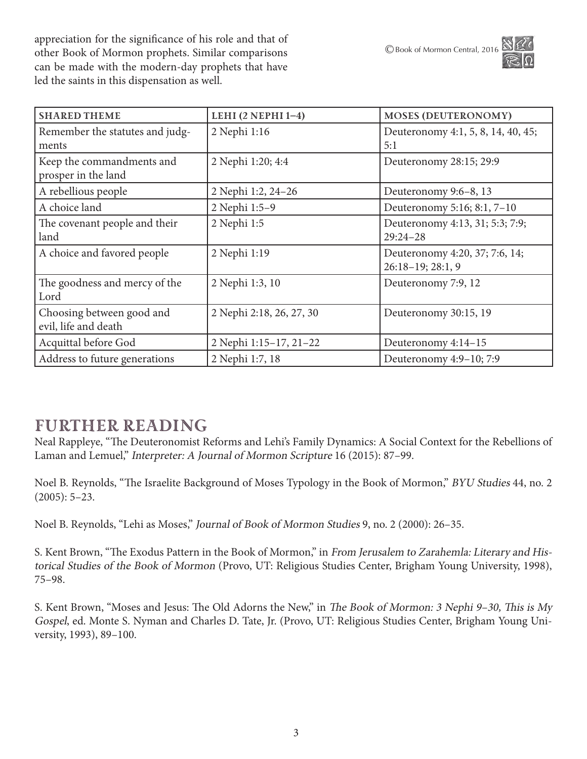appreciation for the significance of his role and that of other Book of Mormon prophets. Similar comparisons can be made with the modern-day prophets that have led the saints in this dispensation as well.

| <b>SHARED THEME</b>                               | LEHI $(2$ NEPHI $1-4$ )  | <b>MOSES (DEUTERONOMY)</b>                            |
|---------------------------------------------------|--------------------------|-------------------------------------------------------|
| Remember the statutes and judg-<br>ments          | 2 Nephi 1:16             | Deuteronomy 4:1, 5, 8, 14, 40, 45;<br>5:1             |
| Keep the commandments and<br>prosper in the land  | 2 Nephi 1:20; 4:4        | Deuteronomy 28:15; 29:9                               |
| A rebellious people                               | 2 Nephi 1:2, 24-26       | Deuteronomy 9:6-8, 13                                 |
| A choice land                                     | 2 Nephi 1:5-9            | Deuteronomy 5:16; 8:1, 7-10                           |
| The covenant people and their<br>land             | 2 Nephi 1:5              | Deuteronomy 4:13, 31; 5:3; 7:9;<br>$29:24 - 28$       |
| A choice and favored people                       | 2 Nephi 1:19             | Deuteronomy 4:20, 37; 7:6, 14;<br>$26:18-19; 28:1, 9$ |
| The goodness and mercy of the<br>Lord             | 2 Nephi 1:3, 10          | Deuteronomy 7:9, 12                                   |
| Choosing between good and<br>evil, life and death | 2 Nephi 2:18, 26, 27, 30 | Deuteronomy 30:15, 19                                 |
| Acquittal before God                              | 2 Nephi 1:15-17, 21-22   | Deuteronomy 4:14-15                                   |
| Address to future generations                     | 2 Nephi 1:7, 18          | Deuteronomy 4:9-10; 7:9                               |

### Further Reading

Neal Rappleye, "The Deuteronomist Reforms and Lehi's Family Dynamics: A Social Context for the Rebellions of Laman and Lemuel," Interpreter: A Journal of Mormon Scripture 16 (2015): 87-99.

Noel B. Reynolds, "The Israelite Background of Moses Typology in the Book of Mormon," BYU Studies 44, no. 2 (2005): 5–23.

Noel B. Reynolds, "Lehi as Moses," Journal of Book of Mormon Studies 9, no. 2 (2000): 26–35.

S. Kent Brown, "The Exodus Pattern in the Book of Mormon," in From Jerusalem to Zarahemla: Literary and Historical Studies of the Book of Mormon (Provo, UT: Religious Studies Center, Brigham Young University, 1998), 75–98.

S. Kent Brown, "Moses and Jesus: The Old Adorns the New," in The Book of Mormon: 3 Nephi 9–30, This is My Gospel, ed. Monte S. Nyman and Charles D. Tate, Jr. (Provo, UT: Religious Studies Center, Brigham Young University, 1993), 89–100.